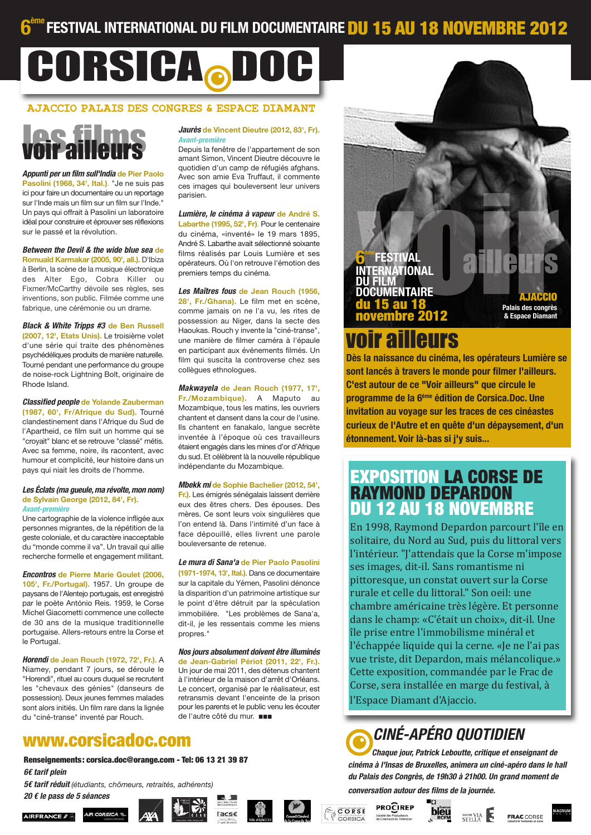## **FESTIVAL INTERNATIONAL DU FILM DOCUMENTAIRE DU 15 AU 18 NOVEMBRE 2012**

# CORSICA.DO

## **AJACCIO PALAIS DES CONGRES & ESPACE DIAMANT**

## les filme voir al

Appunti per un film sull'India de Pier Paolo Pasolini (1968, 34', Ital.). "Je ne suis pas ici pour faire un documentaire ou un reportage sur l'Inde mais un film sur un film sur l'Inde." Un pays qui offrait à Pasolini un laboratoire idéal pour construire et éprouver ses réflexions sur le passé et la révolution.

Between the Devil & the wide blue sea de Romuald Karmakar (2005, 90', all.), D'Ibiza à Berlin, la scène de la musique électronique des Alter Ego, Cobra Killer ou Fixmer/McCarthy dévoile ses règles, ses inventions, son public. Filmée comme une fabrique, une cérémonie ou un drame.

**Black & White Tripps #3 de Ben Russell** (2007, 12', Etats Unis). Le troisième volet d'une série qui traite des phénomènes psychédéliques produits de manière naturelle. Tourné pendant une performance du groupe de noise-rock Lightning Bolt, originaire de Rhode Island.

**Classified people de Yolande Zauberman** (1987, 60', Fr/Afrique du Sud). Tourné clandestinement dans l'Afrique du Sud de l'Apartheid, ce film suit un homme qui se "crovait" blanc et se retrouve "classé" métis. Avec sa femme, noire, ils racontent, avec humour et complicité, leur histoire dans un pays qui niait les droits de l'homme.

#### Les Éclats (ma queule, ma révolte, mon nom) de Sylvain George (2012, 84', Fr). Avant-première

Une cartographie de la violence infligée aux personnes migrantes, de la répétition de la geste coloniale, et du caractère inacceptable du "monde comme il va". Un travail qui allie recherche formelle et engagement militant.

**Encontros de Pierre Marie Goulet (2006.** 105', Fr./Portugal), 1957. Un groupe de paysans de l'Alentejo portugais, est enregistré par le poète António Reis. 1959, le Corse Michel Giacometti commence une collecte de 30 ans de la musique traditionnelle portugaise. Allers-retours entre la Corse et le Portugal.

Horendi de Jean Rouch (1972, 72', Fr.). A Niamey, pendant 7 jours, se déroule le "Horendi", rituel au cours duquel se recrutent les "chevaux des génies" (danseurs de possession). Deux jeunes femmes malades sont alors initiés. Un film rare dans la lignée du "ciné-transe" inventé par Rouch.

#### Jaurès de Vincent Dieutre (2012, 83', Fr). Avant-première

Depuis la fenêtre de l'appartement de son amant Simon, Vincent Dieutre découvre le quotidien d'un camp de réfugiés afghans. Avec son amie Eva Truffaut, il commente ces images qui bouleversent leur univers narisien

Lumière, le cinéma à vapeur de André S. Labarthe (1995, 52', Fr). Pour le centenaire du cinéma, «inventé» le 19 mars 1895, André S. Labarthe avait sélectionné soixante films réalisés par Louis Lumière et ses opérateurs. Où l'on retrouve l'émotion des premiers temps du cinéma.

#### Les Maîtres fous de Jean Rouch (1956,

28'. Fr./Ghana). Le film met en scène. comme jamais on ne l'a vu, les rites de possession au Niger, dans la secte des Haoukas. Rouch y invente la "ciné-transe", une manière de filmer caméra à l'épaule en participant aux événements filmés. Un film qui suscita la controverse chez ses collègues ethnologues.

#### Makwayela de Jean Rouch (1977, 17',

Fr./Mozambique). A Maputo au Mozambique, tous les matins, les ouvriers chantent et dansent dans la cour de l'usine. Ils chantent en fanakalo, langue secrète inventée à l'époque où ces travailleurs étaient engagés dans les mines d'or d'Afrique du sud. Et célèbrent là la nouvelle république indépendante du Mozambique.

#### Mbekk mi de Sophie Bachelier (2012, 54'.

Fr.). Les émigrés sénégalais laissent derrière eux des êtres chers. Des épouses. Des mères. Ce sont leurs voix singulières que l'on entend là. Dans l'intimité d'un face à face dépouillé, elles livrent une parole bouleversante de retenue.

#### Le mura di Sana'a de Pier Paolo Pasolini

(1971-1974, 13', Ital.). Dans ce documentaire sur la capitale du Yémen, Pasolini dénonce la disparition d'un patrimoine artistique sur le point d'être détruit par la spéculation immobilière. "Les problèmes de Sana'a, dit-il, je les ressentais comme les miens propres."

#### Nos jours absolument doivent être illuminés de Jean-Gabriel Périot (2011, 22<sup>1</sup>, Fr.). Un jour de mai 2011, des détenus chantent à l'intérieur de la maison d'arrêt d'Orléans. Le concert, organisé par le réalisateur, est retransmis devant l'enceinte de la prison pour les parents et le public venu les écouter de l'autre côté du mur.

ľacsč



Renseignements: corsica.doc@orange.com - Tel: 06 13 21 39 87  $66$  tarif plein

5t tarif réduit (étudiants, chômeurs, retraités, adhérents)

20 € le pass de 5 séances









**FRAC CORSE** 

# **ERNATIONAL** DOCUMENTAIRE **u 18**

voir ailleurs

Dès la naissance du cinéma, les opérateurs Lumière se sont lancés à travers le monde pour filmer l'ailleurs. C'est autour de ce "Voir ailleurs" que circule le programme de la 6<sup>ème</sup> édition de Corsica.Doc. Une invitation au vovage sur les traces de ces cinéastes curieux de l'Autre et en quête d'un dépaysement, d'un étonnement. Voir là-bas si j'y suis...

Palais des congrès

& Fenace Diar

# **EXPOSITION LA CORSE DE<br>RAYMOND DEPARDON DU 12 AU 18 NOVEMBRE**

En 1998, Raymond Depardon parcourt l'île en solitaire, du Nord au Sud, puis du littoral vers l'intérieur. "J'attendais que la Corse m'impose ses images, dit-il. Sans romantisme ni pittoresque, un constat ouvert sur la Corse rurale et celle du littoral." Son oeil: une chambre américaine très légère. Et personne dans le champ: «C'était un choix», dit-il. Une île prise entre l'immobilisme minéral et l'échappée liquide qui la cerne. «Je ne l'ai pas vue triste, dit Depardon, mais mélancolique.» Cette exposition, commandée par le Frac de Corse, sera installée en marge du festival, à

l'Espace Diamant d'Ajaccio.

# *CINÉ-APÉRO OUOTIDIEN*

Chaque iour. Patrick Leboutte, critique et enseignant de cinéma à l'Insas de Bruxelles, animera un ciné-apéro dans le hall du Palais des Congrès, de 19h30 à 21h00. Un grand moment de conversation autour des films de la journée.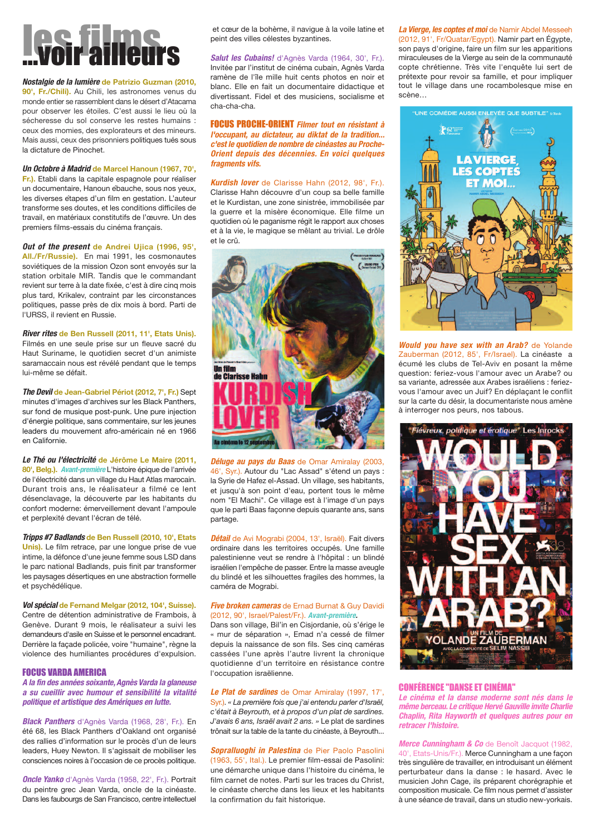# **OSTATION**

Nostalgie de la lumière de Patrizio Guzman (2010,

90', Fr./Chili). Au Chili, les astronomes venus du monde entier se rassemblent dans le désert d'Atacama pour observer les étoiles. C'est aussi le lieu où la sécheresse du sol conserve les restes humains : ceux des momies, des explorateurs et des mineurs. Mais aussi, ceux des prisonniers politiques tués sous la dictature de Pinochet

#### Un Octobre à Madrid de Marcel Hanoun (1967, 70',

Fr.). Etabli dans la capitale espagnole pour réaliser un documentaire, Hanoun ébauche, sous nos yeux, les diverses étapes d'un film en gestation. L'auteur transforme ses doutes, et les conditions difficiles de travail, en matériaux constitutifs de l'œuvre. Un des premiers films-essais du cinéma français.

#### Out of the present de Andrei Ujica (1996, 95',

All./Fr/Russie). En mai 1991, les cosmonautes soviétiques de la mission Ozon sont envoyés sur la station orbitale MIR. Tandis que le commandant revient sur terre à la date fixée, c'est à dire cinq mois plus tard, Krikalev, contraint par les circonstances politiques, passe près de dix mois à bord. Parti de l'URSS, il revient en Russie.

River rites de Ben Russell (2011, 11', Etats Unis). Filmés en une seule prise sur un fleuve sacré du Haut Suriname, le quotidien secret d'un animiste saramaccain nous est révélé pendant que le temps lui-même se défait.

The Devil de Jean-Gabriel Périot (2012, 7', Fr.) Sept minutes d'images d'archives sur les Black Panthers, sur fond de musique post-punk. Une pure injection d'énergie politique, sans commentaire, sur les jeunes leaders du mouvement afro-américain né en 1966 en Californie

Le Thé ou l'électricité de Jérôme Le Maire (2011, 80', Belg.). Avant-première L'histoire épique de l'arrivée de l'électricité dans un village du Haut Atlas marocain. Durant trois ans, le réalisateur a filmé ce lent désenclavage, la découverte par les habitants du confort moderne: émerveillement devant l'ampoule et perplexité devant l'écran de télé.

Tripps #7 Badlands de Ben Russell (2010, 10', Etats Unis). Le film retrace, par une longue prise de vue intime, la défonce d'une jeune femme sous LSD dans le parc national Badlands, puis finit par transformer les paysages désertiques en une abstraction formelle et psychédélique.

Vol spécial de Fernand Melgar (2012, 104', Suisse). Centre de détention administrative de Frambois, à Genève. Durant 9 mois, le réalisateur a suivi les demandeurs d'asile en Suisse et le personnel encadrant. Derrière la façade policée, voire "humaine", règne la violence des humiliantes procédures d'expulsion.

#### **FOCUS VARDA AMERICA**

A la fin des années soixante. Agnès Varda la glaneuse a su cueillir avec humour et sensibilité la vitalité politique et artistique des Amériques en lutte.

**Black Panthers** d'Agnès Varda (1968, 28', Fr.), En été 68, les Black Panthers d'Oakland ont organisé des rallies d'information sur le procès d'un de leurs leaders, Huey Newton. Il s'agissait de mobiliser les consciences noires à l'occasion de ce procès politique.

Oncle Yanko d'Agnès Varda (1958, 22', Fr.). Portrait du peintre grec Jean Varda, oncle de la cinéaste. Dans les faubourgs de San Francisco, centre intellectuel

et cœur de la bohème, il navigue à la voile latine et peint des villes célestes byzantines.

#### Salut les Cubains! d'Agnès Varda (1964, 30', Fr.).

Invitée par l'institut de cinéma cubain, Agnès Varda ramène de l'île mille huit cents photos en noir et blanc. Elle en fait un documentaire didactique et divertissant. Fidel et des musiciens, socialisme et cha-cha-cha

**FOCUS PROCHE-ORIENT** Filmer tout en résistant à l'occupant, au dictateur, au diktat de la tradition... c'est le quotidien de nombre de cinéastes au Proche-Orient depuis des décennies. En voici quelques fragments vifs.

#### Kurdish lover de Clarisse Hahn (2012, 98', Fr.).

Clarisse Hahn découvre d'un coup sa belle famille et le Kurdistan, une zone sinistrée, immobilisée par la guerre et la misère économique. Elle filme un quotidien où le paganisme régit le rapport aux choses et à la vie, le magique se mêlant au trivial. Le drôle et le crû



Déluge au pays du Baas de Omar Amiralay (2003, 46'. Syr.). Autour du "Lac Assad" s'étend un pays : la Syrie de Hafez el-Assad. Un village, ses habitants, et jusqu'à son point d'eau, portent tous le même nom "El Machi". Ce village est à l'image d'un pays que le parti Baas faconne depuis quarante ans, sans partage.

Détail de Avi Mograbi (2004, 13', Israël). Fait divers ordinaire dans les territoires occupés. Une famille palestinienne veut se rendre à l'hôpital : un blindé israélien l'empêche de passer. Entre la masse aveugle du blindé et les silhouettes fragiles des hommes, la caméra de Mograbi.

#### **Five broken cameras** de Ernad Burnat & Guy Davidi (2012, 90', Israel/Palest/Fr.), Avant-première.

Dans son village. Bil'in en Cisiordanie, où s'érige le « mur de séparation », Emad n'a cessé de filmer depuis la naissance de son fils. Ses cinq caméras cassées l'une après l'autre livrent la chronique auotidienne d'un territoire en résistance contre l'occupation israëlienne.

#### Le Plat de sardines de Omar Amiralay (1997, 17',

Syr.), « La première fois que l'ai entendu parler d'Israël. c'était à Beyrouth, et à propos d'un plat de sardines. J'avais 6 ans. Israël avait 2 ans. » Le plat de sardines trônait sur la table de la tante du cinéaste, à Beyrouth...

#### Sopralluoghi in Palestina de Pier Paolo Pasolini

(1963, 55', Ital.). Le premier film-essai de Pasolini: une démarche unique dans l'histoire du cinéma, le film carnet de notes. Parti sur les traces du Christ. le cinéaste cherche dans les lieux et les habitants la confirmation du fait historique.

La Vierge, les coptes et moi de Namir Abdel Messeeh (2012, 91', Fr/Quatar/Egypt). Namir part en Égypte, son pays d'origine, faire un film sur les apparitions miraculeuses de la Vierge au sein de la communauté copte chrétienne. Très vite l'enquête lui sert de prétexte nour revoir sa famille et nour impliquer tout le village dans une rocambolesque mise en scène...



**Would you have sex with an Arab?** de Yolande Zauberman (2012, 85', Fr/Israel). La cinéaste a écumé les clubs de Tel-Aviv en posant la même question: feriez-vous l'amour avec un Arabe? ou sa variante, adressée aux Arabes israéliens : feriezvous l'amour avec un Juif? En déplacant le conflit sur la carte du désir, la documentariste nous amène à interroger nos peurs, nos tabous.



#### **CONFÉRENCE "DANSE ET CINÉMA"**

Le cinéma et la danse moderne sont nés dans le même berceau. Le critique Hervé Gauville invite Charlie Chaplin, Rita Hayworth et quelques autres pour en retracer l'histoire

#### Merce Cunningham & Co de Benoît Jacquot (1982.

40', Etats-Unis/Fr.). Merce Cunningham a une façon très singulière de travailler, en introduisant un élément perturbateur dans la danse : le hasard. Avec le musicien John Cage, ils préparent chorégraphie et composition musicale. Ce film nous permet d'assister à une séance de travail, dans un studio new-vorkais.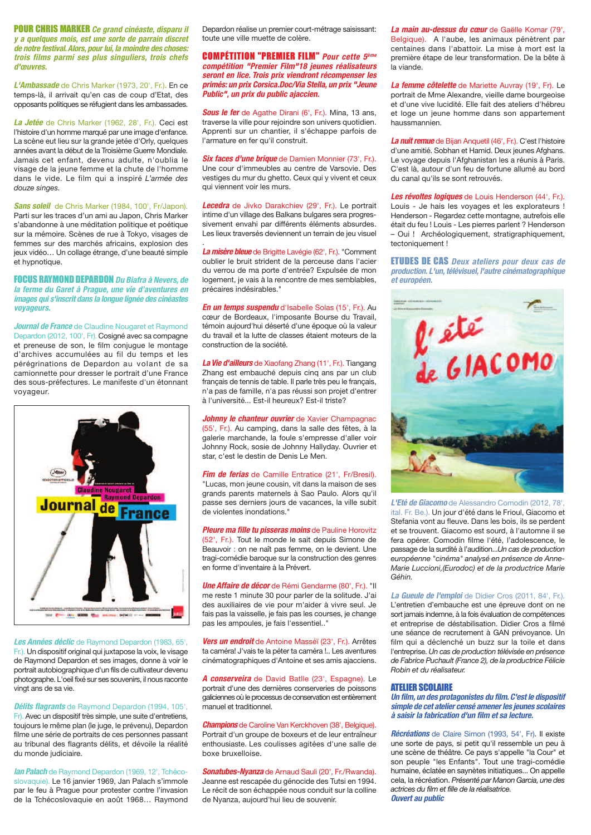**POUR CHRIS MARKER** Ce grand cinéaste, disparu il **y** a quelques mois, est une sorte de parrain discret de notre festival. Alors, pour lui, la moindre des choses: **k***trois films parmi ses plus singuliers, trois chefs* d'œuvres

L'Ambassade de Chris Marker (1973, 20', Fr.). En ce temps-là, il arrivait qu'en cas de coup d'Etat, des opposants politiques se réfugient dans les ambassades.

La Jetée de Chris Marker (1962, 28', Fr.). Ceci est l'histoire d'un homme marqué par une image d'enfance. La scène eut lieu sur la grande jetée d'Orly, quelques années avant la début de la Troisième Guerre Mondiale. Jamais cet enfant, devenu adulte, n'oublia le visage de la jeune femme et la chute de l'homme dans le vide. Le film qui a inspiré L'armée des douze singes.

#### Sans soleil de Chris Marker (1984, 100', Fr/Japon).

Parti sur les traces d'un ami au Japon, Chris Marker s'abandonne à une méditation politique et poétique sur la mémoire. Scènes de rue à Tokyo, visages de femmes sur des marchés africains, explosion des jeux vidéo... Un collage étrange, d'une beauté simple et hypnotique.

**FOCUS RAYMOND DEPARDON** Du Biafra à Nevers, de **la ferme du Garet à Praque, une vie d'aventures en** images qui s'inscrit dans la longue lignée des cinéastes **voyageurs.** 

**Journal de France** de Claudine Nougaret et Raymond Depardon (2012, 100', Fr). Cosigné avec sa compagne et preneuse de son, le film conjuque le montage d'archives accumulées au fil du temps et les pérégrinations de Depardon au volant de sa camionnette pour dresser le portrait d'une France des sous-préfectures. Le manifeste d'un étonnant voyageur.

![](_page_2_Picture_7.jpeg)

Les Années déclic de Raymond Depardon (1983, 65<sup>'</sup>, Fr.). Un dispositif original qui juxtapose la voix, le visage de Raymond Depardon et ses images, donne à voir le portrait autobiographique d'un fils de cultivateur devenu photographe. L'oeil fixé sur ses souvenirs, il nous raconte vingt ans de sa vie.

**Délits flagrants** de Raymond Depardon (1994, 105', Fr). Avec un dispositif très simple, une suite d'entretiens, toujours le même plan (le juge, le prévenu), Depardon filme une série de portraits de ces personnes passant au tribunal des flagrants délits, et dévoile la réalité du monde judiciaire.

**lan Palach** de Raymond Depardon (1969, 12', Tchécoslovaquie). Le 16 janvier 1969, Jan Palach s'immole par le feu à Prague pour protester contre l'invasion de la Tchécoslovaquie en août 1968... Raymond

Depardon réalise un premier court-métrage saisissant: toute une ville muette de colère.

**COMPETITION "PREMIER FILM"** Pour cette 5<sup>ème</sup> *<u>compétition "Premier Film"18 jeunes réalisateurs*</u> seront en lice. Trois prix viendront récompenser les primés: un prix Corsica.Doc/Via Stella, un prix "Jeune Public", un prix du public ajaccien.

**Sous le fer** de Agathe Dirani (6', Fr.). Mina, 13 ans, traverse la ville pour rejoindre son univers quotidien. Apprenti sur un chantier, il s'échappe parfois de l'armature en fer qu'il construit.

**Six faces d'une brique** de Damien Monnier (73', Fr.). Une cour d'immeubles au centre de Varsovie. Des vestiges du mur du ghetto. Ceux qui y vivent et ceux qui viennent voir les murs.

Lecedra de Jivko Darakchiev (29', Fr.). Le portrait intime d'un village des Balkans bulgares sera progressivement envahi par différents éléments absurdes. Les lieux traversés deviennent un terrain de jeu visuel

*La misère bleue* de Brigitte Lavégie (62', Fr.). "Comment oublier le bruit strident de la perceuse dans l'acier du verrou de ma porte d'entrée? Expulsée de mon logement, je vais à la rencontre de mes semblables. précaires indésirables."

.

**En un temps suspendu** d'Isabelle Solas (15<sup>'</sup>, Fr.), Au cœur de Bordeaux, l'imposante Bourse du Travail, témoin aujourd'hui déserté d'une époque où la valeur du travail et la lutte de classes étaient moteurs de la construction de la société.

La Vie d'ailleurs de Xiaofang Zhang (11', Fr.). Tiangang Zhang est embauché depuis cinq ans par un club français de tennis de table. Il parle très peu le français, n'a pas de famille, n'a pas réussi son projet d'entrer à l'université... Est-il heureux? Est-il triste?

**Johnny le chanteur ouvrier** de Xavier Champagnac (55', Fr.). Au camping, dans la salle des fêtes, à la galerie marchande, la foule s'empresse d'aller voir Johnny Rock, sosie de Johnny Hallyday. Ouvrier et star, c'est le destin de Denis Le Men.

**Fim de ferias** de Camille Entratice (21', Fr/Bresil). "Lucas, mon jeune cousin, vit dans la maison de ses grands parents maternels à Sao Paulo. Alors qu'il passe ses derniers jours de vacances, la ville subit de violentes inondations."

**Pleure ma fille tu pisseras moins** de Pauline Horovitz (52', Fr.). Tout le monde le sait depuis Simone de Beauvoir : on ne naît pas femme, on le devient. Une tragi-comédie baroque sur la construction des genres en forme d'inventaire à la Prévert.

**Une Affaire de décor** de Rémi Gendarme (80', Fr.). "Il me reste 1 minute 30 pour parler de la solitude. J'ai des auxiliaires de vie pour m'aider à vivre seul. Je fais pas la vaisselle, je fais pas les courses, je change pas les ampoules, je fais l'essentiel.."

Vers un endroit de Antoine Masséï (23<sup>'</sup>, Fr.). Arrêtes ta caméra! J'vais te la péter ta caméra !.. Les aventures cinématographiques d'Antoine et ses amis ajacciens.

A conserveira de David Batlle (23<sup>'</sup>, Espagne). Le portrait d'une des dernières conserveries de poissons galiciennes où le processus de conservation est entièrement manuel et traditionnel.

*Champions* de Caroline Van Kerckhoven (38', Belgique). Portrait d'un groupe de boxeurs et de leur entraîneur enthousiaste. Les coulisses agitées d'une salle de boxe bruxelloise.

**Sonatubes-Nyanza** de Arnaud Sauli (20', Fr./Rwanda). Jeanne est rescapée du génocide des Tutsi en 1994. Le récit de son échappée nous conduit sur la colline de Nyanza, aujourd'hui lieu de souvenir.

La main au-dessus du cœur de Gaëlle Komar (79', Belgique). A l'aube, les animaux pénètrent par centaines dans l'abattoir. La mise à mort est la première étape de leur transformation. De la bête à la viande

La femme côtelette de Mariette Auvray (19', Fr). Le portrait de Mme Alexandre, vieille dame bourgeoise et d'une vive lucidité. Elle fait des ateliers d'hébreu et loge un jeune homme dans son appartement haussmannien.

La nuit remue de Bijan Anquetil (46', Fr.). C'est l'histoire d'une amitié. Sobhan et Hamid. Deux jeunes Afghans. Le voyage depuis l'Afghanistan les a réunis à Paris. C'est là, autour d'un feu de fortune allumé au bord du canal qu'ils se sont retrouvés.

Les révoltes logiques de Louis Henderson (44', Fr.). Louis - Je hais les voyages et les explorateurs ! Henderson - Regardez cette montagne, autrefois elle était du feu ! Louis - Les pierres parlent ? Henderson - Oui ! Archéologiquement, stratigraphiquement, tectoniquement !

**ETUDES DE CAS** Deux ateliers pour deux cas de production. L'un, télévisuel, l'autre cinématographique **et européen.** 

![](_page_2_Picture_32.jpeg)

L'Eté de Giacomo de Alessandro Comodin (2012, 78', ital. Fr. Be.). Un jour d'été dans le Frioul, Giacomo et Stefania vont au fleuve. Dans les bois, ils se perdent et se trouvent. Giacomo est sourd, à l'automne il se fera opérer. Comodin filme l'été, l'adolescence, le passage de la surdité à l'audition...Un cas de production européenne "cinéma" analysé en présence de Anne-*Marie Luccioni, (Eurodoc) et de la productrice Marie* Géhin

La Gueule de l'emploi de Didier Cros (2011, 84', Fr.). l'entretien d'embauche est une épreuve dont on ne sort jamais indemne, à la fois évaluation de compétences et entreprise de déstabilisation. Didier Cros a filmé une séance de recrutement à GAN prévovance. Un film qui a déclenché un buzz sur la toile et dans l'entreprise. Un cas de production télévisée en présence de Fabrice Puchault (France 2), de la productrice Félicie *Robin et du réalisateur.* 

#### **Atelier Scolaire**

Un film, un des protagonistes du film. C'est le dispositif simple de cet atelier censé amener les jeunes scolaires à saisir la fabrication d'un film et sa lecture.

**Récréations** de Claire Simon (1993, 54', Fr). Il existe une sorte de pays, si petit qu'il ressemble un peu à une scène de théâtre. Ce pays s'appelle "la Cour" et son peuple "les Enfants". Tout une tragi-comédie humaine, éclatée en saynètes initiatiques... On appelle cela. la récréation. Présenté par Manon Garcia, une des actrices du film et fille de la réalisatrice. **Ouvert au public**